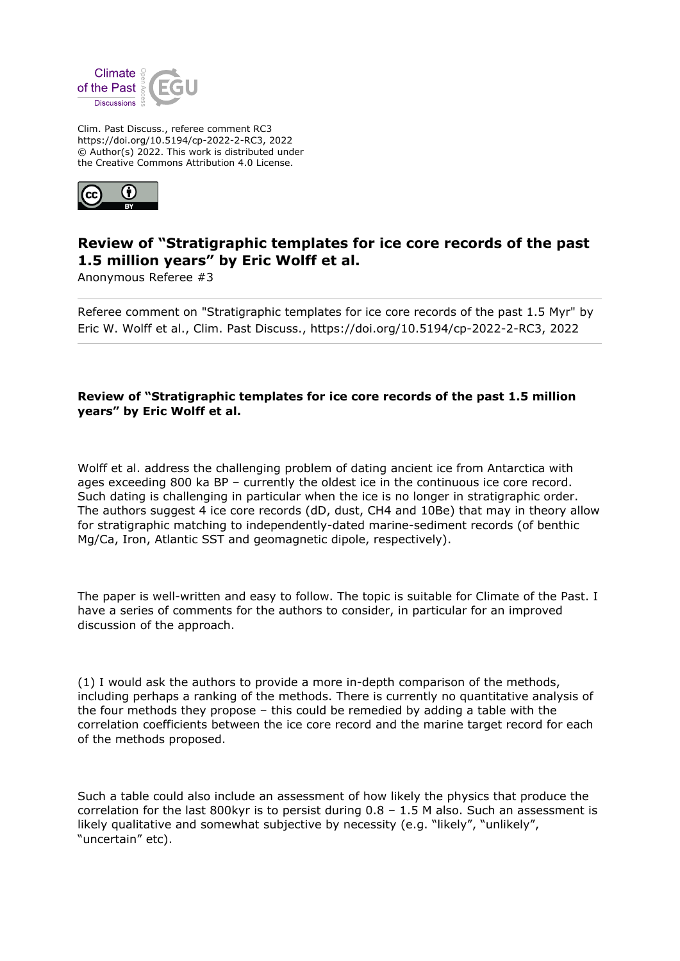

Clim. Past Discuss., referee comment RC3 https://doi.org/10.5194/cp-2022-2-RC3, 2022 © Author(s) 2022. This work is distributed under the Creative Commons Attribution 4.0 License.



## **Review of "Stratigraphic templates for ice core records of the past 1.5 million years" by Eric Wolff et al.**

Anonymous Referee #3

Referee comment on "Stratigraphic templates for ice core records of the past 1.5 Myr" by Eric W. Wolff et al., Clim. Past Discuss., https://doi.org/10.5194/cp-2022-2-RC3, 2022

## **Review of "Stratigraphic templates for ice core records of the past 1.5 million years" by Eric Wolff et al.**

Wolff et al. address the challenging problem of dating ancient ice from Antarctica with ages exceeding 800 ka BP – currently the oldest ice in the continuous ice core record. Such dating is challenging in particular when the ice is no longer in stratigraphic order. The authors suggest 4 ice core records (dD, dust, CH4 and 10Be) that may in theory allow for stratigraphic matching to independently-dated marine-sediment records (of benthic Mg/Ca, Iron, Atlantic SST and geomagnetic dipole, respectively).

The paper is well-written and easy to follow. The topic is suitable for Climate of the Past. I have a series of comments for the authors to consider, in particular for an improved discussion of the approach.

(1) I would ask the authors to provide a more in-depth comparison of the methods, including perhaps a ranking of the methods. There is currently no quantitative analysis of the four methods they propose – this could be remedied by adding a table with the correlation coefficients between the ice core record and the marine target record for each of the methods proposed.

Such a table could also include an assessment of how likely the physics that produce the correlation for the last 800kyr is to persist during  $0.8 - 1.5$  M also. Such an assessment is likely qualitative and somewhat subjective by necessity (e.g. "likely", "unlikely", "uncertain" etc).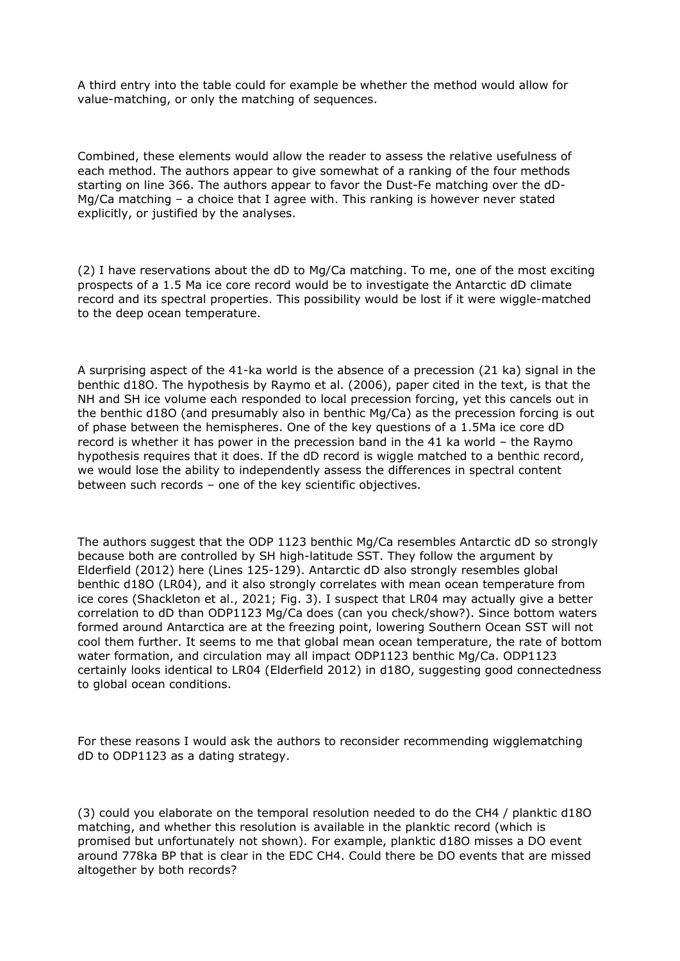A third entry into the table could for example be whether the method would allow for value-matching, or only the matching of sequences.

Combined, these elements would allow the reader to assess the relative usefulness of each method. The authors appear to give somewhat of a ranking of the four methods starting on line 366. The authors appear to favor the Dust-Fe matching over the dD-Mg/Ca matching – a choice that I agree with. This ranking is however never stated explicitly, or justified by the analyses.

(2) I have reservations about the dD to Mg/Ca matching. To me, one of the most exciting prospects of a 1.5 Ma ice core record would be to investigate the Antarctic dD climate record and its spectral properties. This possibility would be lost if it were wiggle-matched to the deep ocean temperature.

A surprising aspect of the 41-ka world is the absence of a precession (21 ka) signal in the benthic d18O. The hypothesis by Raymo et al. (2006), paper cited in the text, is that the NH and SH ice volume each responded to local precession forcing, yet this cancels out in the benthic d18O (and presumably also in benthic Mg/Ca) as the precession forcing is out of phase between the hemispheres. One of the key questions of a 1.5Ma ice core dD record is whether it has power in the precession band in the 41 ka world – the Raymo hypothesis requires that it does. If the dD record is wiggle matched to a benthic record, we would lose the ability to independently assess the differences in spectral content between such records – one of the key scientific objectives.

The authors suggest that the ODP 1123 benthic Mg/Ca resembles Antarctic dD so strongly because both are controlled by SH high-latitude SST. They follow the argument by Elderfield (2012) here (Lines 125-129). Antarctic dD also strongly resembles global benthic d18O (LR04), and it also strongly correlates with mean ocean temperature from ice cores (Shackleton et al., 2021; Fig. 3). I suspect that LR04 may actually give a better correlation to dD than ODP1123 Mg/Ca does (can you check/show?). Since bottom waters formed around Antarctica are at the freezing point, lowering Southern Ocean SST will not cool them further. It seems to me that global mean ocean temperature, the rate of bottom water formation, and circulation may all impact ODP1123 benthic Mg/Ca. ODP1123 certainly looks identical to LR04 (Elderfield 2012) in d18O, suggesting good connectedness to global ocean conditions.

For these reasons I would ask the authors to reconsider recommending wigglematching dD to ODP1123 as a dating strategy.

(3) could you elaborate on the temporal resolution needed to do the CH4 / planktic d18O matching, and whether this resolution is available in the planktic record (which is promised but unfortunately not shown). For example, planktic d18O misses a DO event around 778ka BP that is clear in the EDC CH4. Could there be DO events that are missed altogether by both records?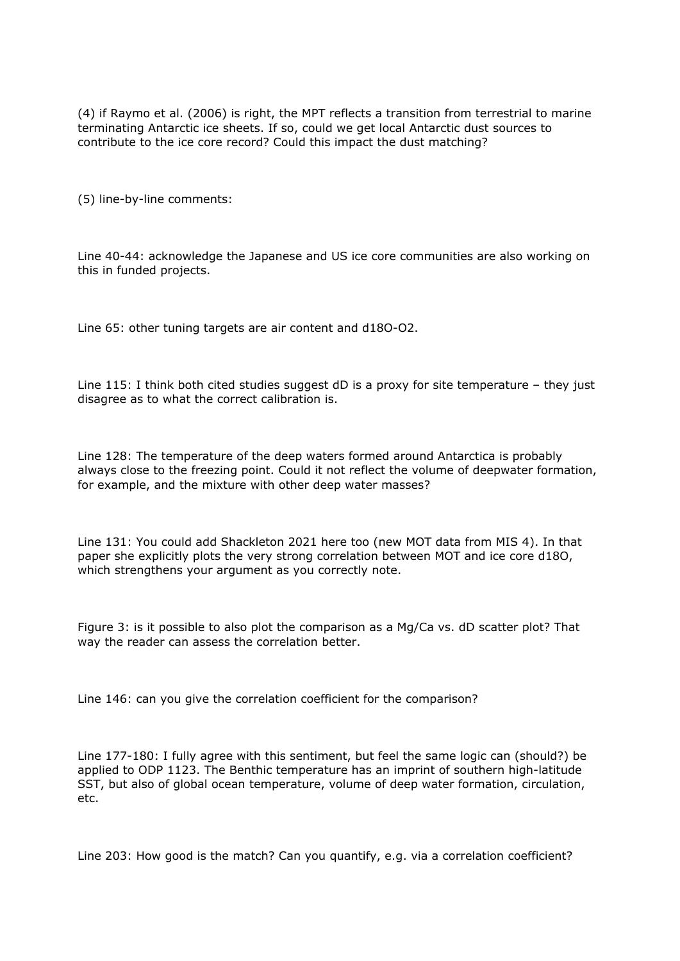(4) if Raymo et al. (2006) is right, the MPT reflects a transition from terrestrial to marine terminating Antarctic ice sheets. If so, could we get local Antarctic dust sources to contribute to the ice core record? Could this impact the dust matching?

(5) line-by-line comments:

Line 40-44: acknowledge the Japanese and US ice core communities are also working on this in funded projects.

Line 65: other tuning targets are air content and d18O-O2.

Line 115: I think both cited studies suggest dD is a proxy for site temperature – they just disagree as to what the correct calibration is.

Line 128: The temperature of the deep waters formed around Antarctica is probably always close to the freezing point. Could it not reflect the volume of deepwater formation, for example, and the mixture with other deep water masses?

Line 131: You could add Shackleton 2021 here too (new MOT data from MIS 4). In that paper she explicitly plots the very strong correlation between MOT and ice core d18O, which strengthens your argument as you correctly note.

Figure 3: is it possible to also plot the comparison as a Mg/Ca vs. dD scatter plot? That way the reader can assess the correlation better.

Line 146: can you give the correlation coefficient for the comparison?

Line 177-180: I fully agree with this sentiment, but feel the same logic can (should?) be applied to ODP 1123. The Benthic temperature has an imprint of southern high-latitude SST, but also of global ocean temperature, volume of deep water formation, circulation, etc.

Line 203: How good is the match? Can you quantify, e.g. via a correlation coefficient?